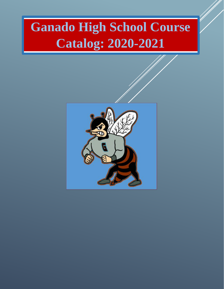# **Ganado High School Course Catalog: 2020-2021**

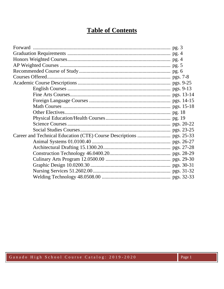# **Table of Contents**

Ganado High School Course Catalog: 2019-2020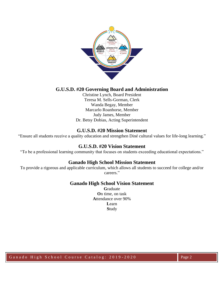

# **G.U.S.D. #20 Governing Board and Administration**

Christine Lynch, Board President Teresa M. Sells-Gorman, Clerk Wanda Begay, Member Marcarlo Roanhorse, Member Judy James, Member Dr. Betsy Dobias, Acting Superintendent

## **G.U.S.D. #20 Mission Statement**

"Ensure all students receive a quality education and strengthen Diné cultural values for life-long learning."

## **G.U.S.D. #20 Vision Statement**

"To be a professional learning community that focuses on students exceeding educational expectations."

## **Ganado High School Mission Statement**

To provide a rigorous and applicable curriculum, which allows all students to succeed for college and/or careers."

## **Ganado High School Vision Statement**

**G**raduate **O**n time, on task **A**ttendance over 90% **L**earn **S**tudy

Ganado High School Course Catalog: 2019-2020 Page 2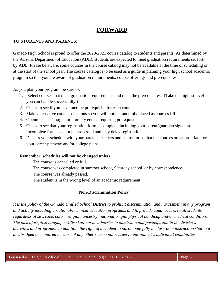# **FORWARD**

#### **TO STUDENTS AND PARENTS:**

Ganado High School is proud to offer the 2020-2021 course catalog to students and parents. As determined by the Arizona Department of Education (ADE), students are expected to meet graduation requirements set forth by ADE. Please be aware, some courses in the course catalog may not be available at the time of scheduling or at the start of the school year. The course catalog is to be used as a guide in planning your high school academic program so that you are aware of graduation requirements, course offerings and prerequisites.

As you plan your program, be sure to:

- 1. Select courses that meet graduation requirements and meet the prerequisites. (Take the highest level you can handle successfully.)
- 2. Check to see if you have met the prerequisite for each course.
- 3. Make alternative course selections so you will not be randomly placed as courses fill.
- 4. Obtain teacher's signature for any course requiring prerequisites.
- 5. Check to see that your registration form is complete, including your parent/guardian signature. Incomplete forms cannot be processed and may delay registration.
- 6. Discuss your schedule with your parents, teachers and counselor so that the courses are appropriate for your career pathway and/or college plans.

## **Remember, schedules will not be changed unless:**

The course is cancelled or full.

The course was completed in summer school, Saturday school, or by correspondence.

The course was already passed.

The student is in the wrong level of an academic requirement.

## **Non-Discrimination Policy**

*It is the policy of the Ganado Unified School District to prohibit discrimination and harassment in any program and activity including vocational/technical education programs, and to provide equal access to all students regardless of sex, race, color, religion, ancestry, national origin, physical handicap and/or medical condition. The lack of English language skills shall not be a barrier to admission and participation in the district's activities and programs. In addition, the right of a student to participate fully in classroom instruction shall not be abridged or impaired because of any other reason not related to the student's individual capabilities.*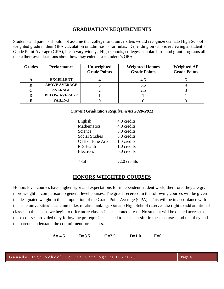# **GRADUATION REQUIREMENTS**

Students and parents should not assume that colleges and universities would recognize Ganado High School's weighted grade in their GPA calculation or admissions formulas. Depending on who is reviewing a student's Grade Point Average (GPA), it can vary widely. High schools, colleges, scholarships, and grant programs all make their own decisions about how they calculate a student's GPA.

| <b>Grades</b> | <b>Performance</b>   | Un-weighted<br><b>Grade Points</b> | <b>Weighted Honors</b><br><b>Grade Points</b> | <b>Weighted AP</b><br><b>Grade Points</b> |
|---------------|----------------------|------------------------------------|-----------------------------------------------|-------------------------------------------|
|               | <b>EXCELLENT</b>     |                                    | 4.5                                           |                                           |
|               | <b>ABOVE AVERAGE</b> |                                    | 3.5                                           |                                           |
|               | <b>AVERAGE</b>       |                                    | 2.5                                           |                                           |
|               | <b>BELOW AVERAGE</b> |                                    |                                               |                                           |
|               | <b>FAILING</b>       |                                    |                                               |                                           |

*Current Graduation Requirements 2020-2021*

| English                 | 4.0 credits  |
|-------------------------|--------------|
| <b>Mathematics</b>      | 4.0 credits  |
| Science                 | 3.0 credits  |
| <b>Social Studies</b>   | 3.0 credits  |
| <b>CTE</b> or Fine Arts | 1.0 credits  |
| PE/Health               | 1.0 credits  |
| Electives               | 6.0 credits  |
| Total                   | 22.0 credits |

# **HONORS WEIGHTED COURSES**

Honors level courses have higher rigor and expectations for independent student work; therefore, they are given more weight in comparison to general level courses. The grade received in the following courses will be given the designated weight in the computation of the Grade Point Average (GPA). This will be in accordance with the state universities' academic index of class ranking. Ganado High School reserves the right to add additional classes to this list as we begin to offer more classes in accelerated areas. No student will be denied access to these courses provided they follow the prerequisites needed to be successful in these courses, and that they and the parents understand the commitment for success.

**A= 4.5 B=3.5 C=2.5 D=1.0 F=0**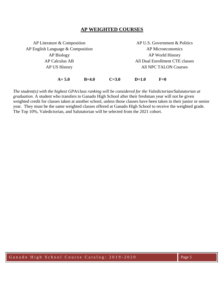## **AP WEIGHTED COURSES**

AP Literature & Composition AP English Language & Composition AP Biology AP Calculus AB AP US History AP U.S. Government & Politics AP Microeconomics AP World History All Dual Enrollment CTE classes All NPC TALON Courses **A= 5.0 B=4.0 C=3.0 D=1.0 F=0**

*The student(s) with the highest GPA/class ranking will be considered for the Valedictorian/Salutatorian at graduation.* A student who transfers to Ganado High School after their freshman year will not be given weighted credit for classes taken at another school, unless those classes have been taken in their junior or senior year. They must be the same weighted classes offered at Ganado High School to receive the weighted grade. The Top 10%, Valedictorian, and Salutatorian will be selected from the 2021 cohort.

G a n a d o High School Course Catalog: 2019-2020 Rage 5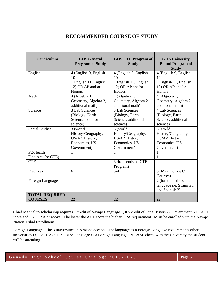# **RECOMMENDED COURSE OF STUDY**

| <b>Curriculum</b>     | <b>GHS</b> General<br><b>Program of Study</b> | <b>GHS CTE Program of</b><br><b>Study</b> | <b>GHS University</b><br><b>Bound Program of</b><br><b>Study</b> |
|-----------------------|-----------------------------------------------|-------------------------------------------|------------------------------------------------------------------|
| English               | 4 (English 9, English                         | 4 (English 9, English                     | 4 (English 9, English                                            |
|                       | 10                                            | 10                                        | 10                                                               |
|                       | English 11, English                           | English 11, English                       | English 11, English                                              |
|                       | 12) OR AP and/or                              | 12) OR AP and/or                          | 12) OR AP and/or                                                 |
|                       | Honors                                        | Honors                                    | Honors                                                           |
| Math                  | 4 (Algebra 1,                                 | 4 (Algebra 1,                             | 4 (Algebra 1,                                                    |
|                       | Geometry, Algebra 2,                          | Geometry, Algebra 2,                      | Geometry, Algebra 2,                                             |
|                       | additional math)                              | additional math)                          | additional math)                                                 |
| Science               | 3 Lab Sciences                                | 3 Lab Sciences                            | 4 Lab Sciences                                                   |
|                       | (Biology, Earth                               | (Biology, Earth                           | (Biology, Earth                                                  |
|                       | Science, additional                           | Science, additional                       | Science, additional                                              |
|                       | science)                                      | science)                                  | science)                                                         |
| <b>Social Studies</b> | 3 (world                                      | 3 (world                                  | 3 (world                                                         |
|                       | History/Geography,                            | History/Geography,                        | History/Geography,                                               |
|                       | US/AZ History,                                | US/AZ History,                            | US/AZ History,                                                   |
|                       | Economics, US                                 | Economics, US                             | Economics, US                                                    |
|                       | Government)                                   | Government)                               | Government)                                                      |
| PE/Health             | 1                                             | $\mathbf{1}$                              | 1                                                                |
| Fine Arts (or CTE)    | 1                                             |                                           | 1                                                                |
| <b>CTE</b>            |                                               | 3-4(depends on CTE                        |                                                                  |
|                       |                                               | Program)                                  |                                                                  |
| Electives             | 6                                             | $3-4$                                     | 3 (May include CTE                                               |
|                       |                                               |                                           | Courses)                                                         |
| Foreign Language      |                                               |                                           | 2 (has to be the same                                            |
|                       |                                               |                                           | language i.e. Spanish 1                                          |
|                       |                                               |                                           | and Spanish 2)                                                   |
| <b>TOTAL REQUIRED</b> |                                               |                                           |                                                                  |
| <b>COURSES</b>        | 22                                            | 22                                        | 22                                                               |

Chief Manuelito scholarship requires 1 credit of Navajo Language 1, 0.5 credit of Dine History & Government, 21+ ACT score and 3.2 G.P.A or above. The lower the ACT score the higher GPA requirement. Must be enrolled with the Navajo Nation Tribal Enrollment.

Foreign Language –The 3 universities in Arizona accepts Dine language as a Foreign Language requirements other universities DO NOT ACCEPT Dine Language as a Foreign Language. PLEASE check with the University the student will be attending.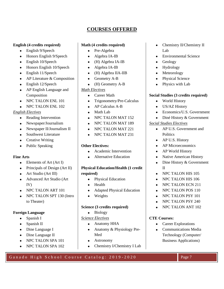# **COURSES OFFERED**

#### **English (4 credits required)**

- English 9/Speech
- Honors English 9/Speech
- English 10/Speech
- Honors English 10/Speech
- English 11/Speech
- AP Literature & Composition
- English 12/Speech
- AP English Language and Composition
- NPC TALON ENL 101
- NPC TALON ENL 102

## *English Electives*

- Reading Intervention
- Newspaper/Journalism
- Newspaper II/Journalism II
- Southwest Literature
- Creative Writing
- Public Speaking

## **Fine Arts**

- Elements of Art (Art I)
- Principals of Design (Art II)
- Art Studio (Art III)
- Advanced Art Studio (Art IV)
- NPC TALON ART 101
- NPC TALON SPT 130 (Intro to Theater)

## **Foreign Language**

- Spanish I
- Spanish II
- Dine Language I
- Dine Language II
- NPC TALON SPA 101
- NPC TALON SPA 102

## **Math (4 credits required)**

- Pre-Algebra
- Algebra IA-IB
- (H) Algebra IA-IB
- Algebra IA-IB
- (H) Algebra IIA-IIB
- Geometry A-B
- (H) Geometry A-B

## *Math Electives*

- Career Math
- Trigonometry/Pre-Calculus
- AP Calculus A-B
- Math Lab
- NPC TALON MAT 152
- NPC TALON MAT 189
- NPC TALON MAT 221
- NPC TALON MAT 231

## **Other Electives:**

- Academic Intervention
- Alternative Education

# **Physical Education/Health (1 credit**

- **required)**
	- Physical Education
	- Health
	- Adapted Physical Education
	- Weights

## **Science (3 credits required)**

• Biology

## *Science Electives*

- Anatomy HHA
- Anatomy & Physiology Pre-Med
- Astronomy
- Chemistry I/Chemistry I Lab
- Chemistry II/Chemistry II Lab
- Environmental Science
- Geology
- Hydrology
- **Meteorology**
- Physical Science
- Physics with Lab

## **Social Studies (3 credits required)**

- World History
- US/AZ History
- Economics/U.S. Government
- Diné History & Government

## *Social Studies Electives*

- AP U.S. Government and **Politics**
- AP U.S. History
- AP Microeconomics
- AP World History
- Native American History
- Dine History & Government II
- NPC TALON HIS 105
- NPC TALON HIS 106
- NPC TALON ECN 211
- NPC TALON POS 110
- NPC TALON PSY 101
- NPC TALON PSY 240
- NPC TALON ANT 102

#### **CTE Courses:**

- Career Explorations
- Communications Media Technology (Computer/ Business Applications)

Ganado High School Course Catalog: 2019-2020 Page 7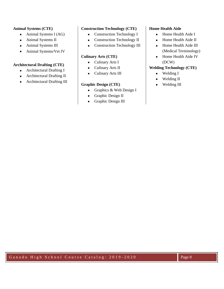#### **Animal Systems (CTE)**

- Animal Systems I (AG)
- Animal Systems II
- Animal Systems III
- Animal Systems/Vet IV

#### **Architectural Drafting (CTE)**

- Architectural Drafting I
- Architectural Drafting II
- Architectural Drafting III

#### **Construction Technology (CTE)**

- Construction Technology I
- Construction Technology II
- Construction Technology III

## **Culinary Arts (CTE)**

- Culinary Arts I
- Culinary Arts II
- Culinary Arts III

## **Graphic Design (CTE)**

- Graphics & Web Design I
- Graphic Design II
- Graphic Design III

#### **Home Health Aide**

- Home Health Aide I
- Home Health Aide II
- Home Health Aide III (Medical Terminology)
- Home Health Aide IV (DCW)

### **Welding Technology (CTE)**

- Welding I
- Welding II
- Welding III

Ganado High School Course Catalog: 2019-2020 Page 8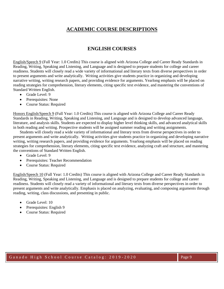# **ACADEMIC COURSE DESCRIPTIONS**

## **ENGLISH COURSES**

English/Speech 9 (Full Year: 1.0 Credits) This course is aligned with Arizona College and Career Ready Standards in Reading, Writing, Speaking and Listening, and Language and is designed to prepare students for college and career readiness. Students will closely read a wide variety of informational and literary texts from diverse perspectives in order to present arguments and write analytically. Writing activities give students practice in organizing and developing narrative writing, writing research papers, and providing evidence for arguments. Yearlong emphasis will be placed on reading strategies for comprehension, literary elements, citing specific text evidence, and mastering the conventions of Standard Written English.

- Grade Level: 9
- Prerequisites: None
- Course Status: Required

Honors English/Speech 9 (Full Year: 1.0 Credits) This course is aligned with Arizona College and Career Ready Standards in Reading, Writing, Speaking and Listening, and Language and is designed to develop advanced language, literature, and analysis skills. Students are expected to display higher level thinking skills, and advanced analytical skills in both reading and writing. Prospective students will be assigned summer reading and writing assignments.

Students will closely read a wide variety of informational and literary texts from diverse perspectives in order to present arguments and write analytically. Writing activities give students practice in organizing and developing narrative writing, writing research papers, and providing evidence for arguments. Yearlong emphasis will be placed on reading strategies for comprehension, literary elements, citing specific text evidence, analyzing craft and structure, and mastering the conventions of Standard Written English.

- Grade Level: 9
- Prerequisites: Teacher Recommendation
- Course Status: Required

English/Speech 10 (Full Year: 1.0 Credits) This course is aligned with Arizona College and Career Ready Standards in Reading, Writing, Speaking and Listening, and Language and is designed to prepare students for college and career readiness. Students will closely read a variety of informational and literary texts from diverse perspectives in order to present arguments and write analytically. Emphasis is placed on analyzing, evaluating, and composing arguments through reading, writing, class discussions, and presenting in public.

- Grade Level: 10
- Prerequisites: English 9
- Course Status: Required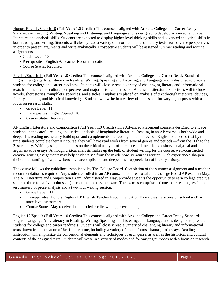Honors English/Speech 10 (Full Year: 1.0 Credits) This course is aligned with Arizona College and Career Ready Standards in Reading, Writing, Speaking and Listening, and Language and is designed to develop advanced language, literature, and analysis skills. Students are expected to display higher level thinking skills and advanced analytical skills in both reading and writing. Students will closely read a variety of informational and literary texts from diverse perspectives in order to present arguments and write analytically. Prospective students will be assigned summer reading and writing assignments.

- Grade Level: 10
- Prerequisites: English 9; Teacher Recommendation
- Course Status: Required

English/Speech 11 (Full Year: 1.0 Credits) This course is aligned with Arizona College and Career Ready Standards – English Language Arts/Literacy in Reading, Writing, Speaking and Listening, and Language and is designed to prepare students for college and career readiness. Students will closely read a variety of challenging literary and informational texts from the diverse cultural perspectives and major historical periods of American Literature. Selections will include novels, short stories, pamphlets, speeches, and articles. Emphasis is placed on analysis of text through rhetorical devices, literary elements, and historical knowledge. Students will write in a variety of modes and for varying purposes with a focus on research skills.

- Grade Level: 11
- Prerequisites: English/Speech 10
- Course Status: Required

AP English Literature and Composition (Full Year: 1.0 Credits) This Advanced Placement course is designed to engage students in the careful reading and critical analysis of imaginative literature. Reading in an AP course is both wide and deep. This reading necessarily build upon and complements the reading done in previous English courses so that by the time students complete their AP course, they will have read works from several genres and periods —from the 16th to the 21st century. Writing assignments focus on the critical analysis of literature and include expository, analytical and argumentative essays. Although critical analysis makes up the bulk of student writing for the course, well-constructed creative writing assignments may help students see from the inside how literature is written. Such experiences sharpen their understanding of what writers have accomplished and deepen their appreciation of literary artistry.

The course follows the guidelines established by The College Board. Completion of the summer assignment and a teacher recommendation is required. Any student enrolled in an AP course is required to take the College Board AP exam in May. The AP Literature and Composition Exam, administered in May, provide students the opportunity to earn college credit; a score of three (on a five-point scale) is required to pass the exam. The exam is comprised of one-hour reading session to test mastery of prose analysis and a two-hour writing session.

- Grade Level: 11
- Pre-requisites: Honors English 10/ English Teacher Recommendation Form/ passing scores on school and/ or state level assessment
- Course Status: May receive dual enrolled credits with approved college

English 12/Speech (Full Year: 1.0 Credits) This course is aligned with Arizona College and Career Ready Standards – English Language Arts/Literacy in Reading, Writing, Speaking and Listening, and Language and is designed to prepare students for college and career readiness. Students will closely read a variety of challenging literary and informational texts drawn from the canon of British literature, including a variety of poetic forms, dramas, and essays. Reading instruction will emphasize the conventional elements and techniques of each genre, as well as the historical and cultural contexts of the assigned texts. Students will write in a variety of modes and for varying purposes with a focus on research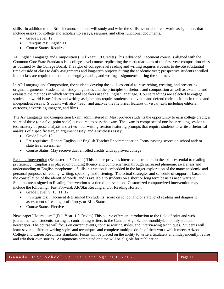skills. In addition to the British canon, students will study and write the skills essential to real-world assignments that include essays for college and scholarship essays, resumes, and other functional documents.

- Grade Level: 12
- Prerequisites: English 11
- Course Status: Required

AP English Language and Composition (Full Year: 1.0 Credits) This Advanced Placement course is aligned with the Common Core State Standards is a college-level course, replicating the curricular goals of the first-year composition class as outlined by the College Board. The rigor of college-level reading and writing requires students to devote substantial time outside of class to daily assignments and long-term projects during the academic year; prospective students enrolled in the class are required to complete lengthy reading and writing assignments during the summer.

In AP Language and Composition, the students develop the skills essential to researching, creating, and presenting original arguments. Students will study linguistics and the principles of rhetoric and composition as well as examine and evaluate the methods in which writers and speakers use the English language. Course readings are selected to engage students in world issues/ideas and writing assignments require students to develop and defend their positions in timed and independent essays. Students will also "read" and analyze the rhetorical features of visual texts including editorial cartoons, advertising imagery, and films.

The AP Language and Composition Exam, administered in May, provide students the opportunity to earn college credit; a score of three (on a five-point scale) is required to pass the exam. The exam is comprised of one-hour reading session to test mastery of prose analysis and a two-hour writing session featuring prompts that require students to write a rhetorical analysis of a specific text, an argument essay, and a synthesis essay.

- Grade Level: 12
- Pre-requisites: Honors English 11/ English Teacher Recommendation Form/ passing scores on school and/ or state level assessment
- Course Status: May receive dual enrolled credits with approved college

Reading Intervention (Semester: 0.5 Credits) This course provides intensive instruction in the skills essential to reading proficiency. Emphasis is placed on building fluency and comprehension through increased phonemic awareness and understanding of English morphemes. Skills instruction is embedded in the larger exploration of the many academic and personal purposes of reading, writing, speaking, and listening. The actual strategies and schedule of support is based on the constellation of the identified needs, and is available to students on a short or long term basis as need warrant. Students are assigned to Reading Intervention as a tiered intervention. Customized computerized intervention may include the following: Fast Forward, AR/Star Reading and/or Reading Horizon.

- Grade Level: 9, 10, 11, 12
- Prerequisites: Placement determined by students' score on school and/or state level reading and diagnostic assessment of reading proficiency, or ELL Status.
- Course Status: Elective

Newspaper I/Journalism I (Full Year: 1.0 Credits) This course offers an introduction to the field of print and web journalism with students starting as contributing writers to the Ganado High School monthly/bimonthly student newspaper. The course will focus on current events, concise writing styles, and interviewing techniques. Students will learn several different writing styles and techniques and complete multiple drafts of their work which meets Arizona College and Career Readiness standards. Focus will be placed on the ability to write articulately and independently, revise and edit their own stories. Assignments completed on time will be eligible for publication.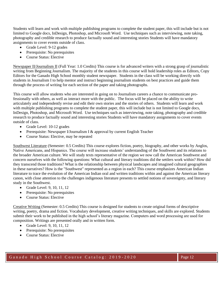Students will learn and work with multiple publishing programs to complete the student paper, this will include but is not limited to Google docs, InDesign, Photoshop, and Microsoft Word. Use techniques such as interviewing, note taking, photography and credible research to produce factually sound and interesting stories Students will have mandatory assignments to cover events outside of class.

- Grade Level: 9-12 grades
- Prerequisite: No prerequisites
- Course Status: Elective

Newspaper II/Journalism II (Full Year: 1.0 Credits) This course is for advanced writers with a strong grasp of journalistic writing from Beginning Journalism. The majority of the students in this course will hold leadership roles as Editors, Copy Editors for the Ganado High School monthly student newspaper. Students in the class will be working directly with students in Journalism I to help mentor and instruct beginning journalism students on best practices and guide them through the process of writing for each section of the paper and taking photographs.

This course will allow students who are interested in going on to Journalism careers a chance to communicate professionally with others, as well as interact more with the public. The focus will be placed on the ability to write articulately and independently revise and edit their own stories and the stories of others. Students will learn and work with multiple publishing programs to complete the student paper, this will include but is not limited to Google docs, InDesign, Photoshop, and Microsoft Word. Use techniques such as interviewing, note taking, photography and credible research to produce factually sound and interesting stories Students will have mandatory assignments to cover events outside of class.

- Grade Level: 10-12 grades
- Prerequisite: Newspaper I/Journalism I & approval by current English Teacher
- Course Status: Elective, may be repeated

Southwest Literature (Semester: 0.5 Credits) This course explores fiction, poetry, biography, and other works by Anglos, Native Americans, and Hispanics. The course will increase students' understanding of the Southwest and its relations to the broader American culture. We will study texts representative of the region we now call the American Southwest and concern ourselves with the following questions: What cultural and literary traditions did the settlers work within? How did they transcend those traditions? What is the relationship between physical landscapes and imagined cultural geographies in these narratives? How is the "Southwest" represented as a region in each? This course emphasizes American Indian literature to trace the evolution of the American Indian oral and written traditions within and against the American literary canon, with close attention to the challenges indigenous literature presents to settled notions of sovereignty, and literary study in the Southwest.

- Grade Level: 9, 10, 11, 12
- Prerequisite: No prerequisites
- Course Status: Elective

Creative Writing (Semester: 0.5 Credits) This course is designed for students to create original forms of descriptive writing, poetry, drama and fiction. Vocabulary development, creative writing techniques, and skills are explored. Students submit their work to be published in the high school's literary magazine. Computers and word processing are used for composition. Writings are presented orally and in written form.

- Grade Level: 9, 10, 11, 12
- Prerequisite: No prerequisites
- Course Status: Elective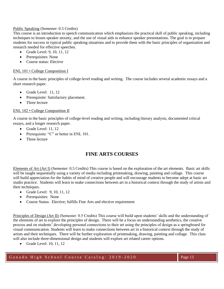#### Public Speaking (Semester: 0.5 Credits)

This course is an introduction to speech communication which emphasizes the practical skill of public speaking, including techniques to lessen speaker anxiety, and the use of visual aids to enhance speaker presentations. The goal is to prepare students for success in typical public speaking situations and to provide them with the basic principles of organization and research needed for effective speeches.

- Grade Level: 9, 10, 11, 12
- Prerequisites: None
- Course status: Elective

#### ENL 101 • College Composition I

A course in the basic principles of college-level reading and writing. The course includes several academic essays and a short research paper.

- Grade Level: 11, 12
- Prerequisite: Satisfactory placement.
- Three lecture

#### ENL 102 • College Composition II

A course in the basic principles of college-level reading and writing, including literary analysis, documented critical essays, and a longer research paper.

- Grade Level: 11, 12
- Prerequisite: "C" or better in ENL 101.
- Three lecture

# **FINE ARTS COURSES**

Elements of Art (Art I) (Semester: 0.5 Credits) This course is based on the exploration of the art elements. Basic art skills will be taught sequentially using a variety of media including printmaking, drawing, painting and collage. This course will build appreciation for the habits of mind of creative people and will encourage students to become adept at basic art studio practice. Students will learn to make connections between art in a historical context through the study of artists and their techniques.

- Grade Level: 9, 10, 11, 12
- Prerequisites: None
- Course Status: Elective; fulfills Fine Arts and elective requirement

Principles of Design (Art II) (Semester: 0.5 Credits) This course will build upon students' skills and the understanding of the elements of art to explore the principles of design. There will be a focus on understanding aesthetics, the creative process and on students' developing personal connections to their art using the principles of design as a springboard for visual communication. Students will learn to make connections between art in a historical context through the study of artists and their techniques. There will be further exploration of printmaking, drawing, painting and collage. This class will also include three-dimensional design and students will explore art related career options.

• Grade Level: 10, 11, 12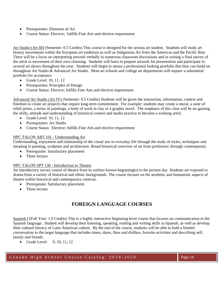- Prerequisites: Elements of Art
- Course Status: Elective; fulfills Fine Arts and elective requirement

Art Studio (Art III) (Semester: 0.5 Credits) This course is designed for the serious art student. Students will study art history movements within the European art traditions as well as Indigenous Art from the Americas and the Pacific Rim. There will be a focus on interpreting artwork verbally in numerous classroom discussions and in writing a final survey of the artist or movement of their own choosing. Students will learn to prepare artwork for presentation and participate in several art shows throughout the year. Students will begin to amass a professional looking portfolio that they can build on throughout Art Studio & Advanced Art Studio. Most art schools and college art departments will require a substantial portfolio for acceptance.

- Grade Level: 10, 11, 12
- Prerequisites: Principles of Design
- Course Status: Elective; fulfills Fine Arts and elective requirement

Advanced Art Studio (Art IV) (Semester: 0.5 Credits) Students will be given the instruction, information, context and freedom to create art projects that require long-term commitment. For example: students may create a mural, a suite of relief prints, a series of paintings, a body of work in clay or a graphic novel. The emphasis of this class will be on gaining the skills, attitude and understanding of historical context and studio practice to become a working artist.

- Grade Level: 10, 11, 12
- Prerequisites: Art Studio
- Course Status: Elective; fulfills Fine Arts and elective requirement

#### NPC TALON ART 101 - Understanding Art

Understanding, enjoyment and relationship of the visual arts to everyday life through the study of styles, techniques and meaning in painting, sculpture and architecture. Broad historical overview of art from prehistoric through contemporary.

- Prerequisite: Satisfactory placement
- Three lecture

#### NPC TALON SPT 130 - Introduction to Theatre

An introductory survey course of theatre from its earliest known beginning(s) to the present day. Students are exposed to drama from a variety of historical and ethnic backgrounds. The course focuses on the aesthetic and humanistic aspects of theatre within historical and contemporary contexts.

- Prerequisite: Satisfactory placement
- Three lecture

# **FOREIGN LANGUAGE COURSES**

Spanish I (Full Year: 1.0 Credits) This is a highly interactive beginning level course that focuses on communication in the Spanish language. Student will develop their listening, speaking, reading and writing skills in Spanish, as well as develop their cultural literacy of Latin American culture. By the end of the course, students will be able to hold a limited conversation in the target language that includes times, dates, likes and dislikes, favorite activities and describing self, family and friends.

• Grade Level: 9, 10, 11, 12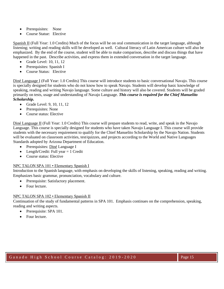- Prerequisites: None
- Course Statue: Elective

Spanish II (Full Year: 1.0 Credits) Much of the focus will be on oral communication in the target language, although listening; writing and reading skills will be developed as well. Cultural literacy of Latin American culture will also be emphasized. By the end of the course, student will be able to make comparison, describe and discuss things that have happened in the past. Describe activities, and express them in extended conversation in the target language.

- Grade Level: 10, 11, 12
- Prerequisites: Spanish I
- Course Status: Elective

Diné Language I (Full Year: 1.0 Credits) This course will introduce students to basic conversational Navajo. This course is specially designed for students who do not know how to speak Navajo. Students will develop basic knowledge of speaking, reading and writing Navajo language. Some culture and history will also be covered. Students will be graded primarily on tests, usage and understanding of Navajo Language. *This course is required for the Chief Manuelito Scholarship.*

- Grade Level: 9, 10, 11, 12
- Prerequisites: None
- Course status: Elective

Diné Language II (Full Year: 1.0 Credits) This course will prepare students to read, write, and speak in the Navajo Language. This course is specially designed for students who have taken Navajo Language I. This course will provide students with the necessary requirement to qualify for the Chief Manuelito Scholarship by the Navajo Nation. Students will be evaluated on classroom activities, test/quizzes, and projects according to the World and Native Languages Standards adopted by Arizona Department of Education.

- Prerequisites: Diné Language I
- Length/Credit: Full year  $= 1$  Credit
- Course status: Elective

#### NPC TALON SPA 101 • Elementary Spanish I

Introduction to the Spanish language, with emphasis on developing the skills of listening, speaking, reading and writing. Emphasizes basic grammar, pronunciation, vocabulary and culture.

- Prerequisite: Satisfactory placement.
- Four lecture.

#### NPC TALON SPA 102 • Elementary Spanish II

Continuation of the study of fundamental patterns in SPA 101. Emphasis continues on the comprehension, speaking, reading and writing aspects.

- Prerequisite: SPA 101.
- Four lecture.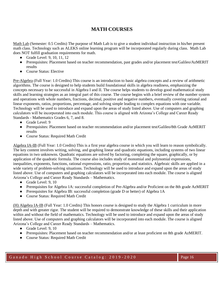# **MATH COURSES**

Math Lab (Semester: 0.5 Credits) The purpose of Math Lab is to give a student individual instruction in his/her present math class. Technology such as ALEKS online learning program will be incorporated regularly during class. Math Lab does NOT fulfill graduation requirements for math.

- Grade Level: 9, 10, 11, 12
- Prerequisites: Placement based on teacher recommendation, past grades and/or placement test/Galileo/AzMERIT results
- Course Status: Elective

Pre-Algebra (Full Year: 1.0 Credits) This course is an introduction to basic algebra concepts and a review of arithmetic algorithms. The course is designed to help students build foundational skills in algebra readiness, emphasizing the concepts necessary to be successful in Algebra I and II. The course helps students to develop good mathematical study skills and learning strategies as an integral part of this course. The course begins with a brief review of the number system and operations with whole numbers, fractions, decimal, positive and negative numbers, eventually covering rational and linear exponents, ratios, proportions, percentage, and solving simple leading to complex equations with one variable. Technology will be used to introduce and expand upon the areas of study listed above. Use of computers and graphing calculators will be incorporated into each module. This course is aligned with Arizona's College and Career Ready Standards - Mathematics Grades 6, 7, and 8.

- Grade Level: 9
- Prerequisites: Placement based on teacher recommendation and/or placement test/Galileo/8th Grade AzMERIT results
- Course Status: Required Math Credit

Algebra IA-IB (Full Year: 1.0 Credits) This is a first year algebra course in which you will learn to reason symbolically. The key content involves writing, solving, and graphing linear and quadratic equations, including systems of two linear equations in two unknowns. Quadratic equations are solved by factoring, completing the square, graphically, or by application of the quadratic formula. The course also includes study of monomial and polynomial expressions, inequalities, exponents, functions, rational expressions, ratio, proportion, and statistics. Algebraic skills are applied in a wide variety of problem-solving situations. Technology will be used to introduce and expand upon the areas of study listed above. Use of computers and graphing calculators will be incorporated into each module. The course is aligned Arizona's College and Career Ready Standards – Mathematics.

- Grade Level: 9, 10
- Prerequisites for Algebra 1A: successful completion of Pre-Algebra and/or Proficient on the 8th grade AzMERIT
- Prerequisites for Algebra IB: successful completion (grade D or better) of Algebra 1A
- Course Status: Required Math Credit

(H) Algebra IA-IB (Full Year: 1.0 Credits) This honors course is designed to study the Algebra 1 curriculum in more depth and with greater rigor. The student will be required to demonstrate knowledge of these skills and their application within and without the field of mathematics. Technology will be used to introduce and expand upon the areas of study listed above. Use of computers and graphing calculators will be incorporated into each module. The course is aligned Arizona's College and Career Ready Standards – Mathematics.

- Grade Level: 9, 10
- Prerequisites: Placement based on teacher recommendation and/or at least proficient on 8th grade AzMERIT.
- Course Status: Required Math Credit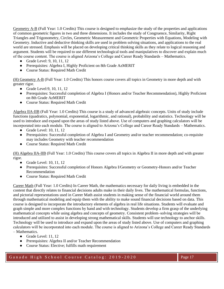Geometry A-B (Full Year: 1.0 Credits) This course is designed to emphasize the study of the properties and applications of common geometric figures in two and three dimensions. It includes the study of Congruence, Similarity, Right Triangles and Trigonometry, Circles, Geometric Measurement and Geometric Properties with Equations, Modeling with Geometry. Inductive and deductive thinking skills are used in problem solving situations, and applications to the real world are stressed. Emphasis will be placed on developing critical thinking skills as they relate to logical reasoning and argument. Students will be required to use different technological tools and manipulatives to discover and explain much of the course content. The course is aligned Arizona's College and Career Ready Standards – Mathematics.

- Grade Level: 9, 10, 11, 12
- Prerequisites: Algebra I, Highly Proficient on 8th Grade AzMERIT
- Course Status: Required Math Credit

(H) Geometry A-B (Full Year: 1.0 Credits) This honors course covers all topics in Geometry in more depth and with greater rigor.

- Grade Level: 9, 10, 11, 12
- Prerequisites: Successful completion of Algebra I (Honors and/or Teacher Recommendation), Highly Proficient on 8th Grade AzMERIT
- Course Status: Required Math Credit

Algebra IIA-IIB (Full Year: 1.0 Credits) This course is a study of advanced algebraic concepts. Units of study include functions (quadratics, polynomial, exponential, logarithmic, and rational), probability and statistics. Technology will be used to introduce and expand upon the areas of study listed above. Use of computers and graphing calculators will be incorporated into each module. The course is aligned to Arizona's College and Career Ready Standards – Mathematics.

- $\bullet$  Grade Level: 10, 11, 12
- Prerequisites: Successful completion of Algebra I and Geometry and/or teacher recommendation; co-requisite may includes Geometry with teacher recommendation
- Course Status: Required Math Credit

(H) Algebra IIA-IIB (Full Year: 1.0 Credits) This course covers all topics in Algebra II in more depth and with greater rigor.

- Grade Level:  $10, 11, 12$
- Prerequisites: Successful completion of Honors Algebra I/Geometry or Geometry-Honors and/or Teacher Recommendation
- Course Status: Required Math Credit

Career Math (Full Year: 1.0 Credits) In Career Math, the mathematics necessary for daily living is embedded in the content that directly relates to financial decisions adults make in their daily lives. The mathematical formulas, functions, and pictorial representations used in Career Math assist students in making sense of the financial world around them through mathematical modeling and equip them with the ability to make sound financial decisions based on data. This course is designed to incorporate the introductory elements of algebra in real life situations. Students will evaluate and graph simple and more complex functions by hand and with technology. Students develop a firm grasp of the underlying mathematical concepts while using algebra and concepts of geometry. Consistent problem–solving strategies will be introduced and utilized to assist in developing strong mathematical skills. Students will use technology to anchor skills. Technology will be used to introduce and expand upon the areas of study listed above. Use of computers and graphing calculators will be incorporated into each module. The course is aligned to Arizona's College and Career Ready Standards – Mathematics.

- Grade Level: 11, 12
- Prerequisites: Algebra II and/or Teacher Recommendation
- Course Status: Elective; fulfills math requirement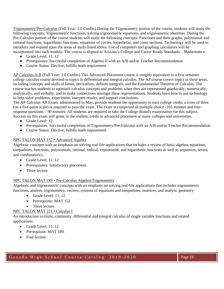Trigonometry/Pre-Calculus (Full Year: 1.0 Credits) During the Trigonometry portion of the course, students will study the following concepts: Trigonometric functions, solving trigonometric equations, and trigonometric identities. During the Pre-Calculus portion of the course students will study the following concepts: Functions and their graphs, polynomial and rational functions, logarithmic functions, equations of circles, hyperbolas, and conic sections. Technology will be used to introduce and expand upon the areas of study listed above. Use of computers and graphing calculators will be incorporated into each module. The course is aligned to Arizona's College and Career Ready Standards – Mathematics.

- Grade Level: 11, 12
- Prerequisites: Successful completion of Algebra II with an A/B and/or Teacher Recommendation
- Course Status: Elective; fulfills math requirement

AP Calculus A-B (Full Year: 1.0 Credits) This Advanced Placement course is roughly equivalent to a first semester college calculus course devoted to topics in differential and integral calculus. The AP course covers topics in these areas, including concepts and skills of limits, derivatives, definite integrals, and the Fundamental Theorem of Calculus. The course teaches students to approach calculus concepts and problems when they are represented graphically, numerically, analytically, and verbally, and to make connections amongst these representations. Students learn how to use technology to help solve problems, experiment, interpret results, and support conclusions.

The AP Calculus AB Exam, administered in May, provide students the opportunity to earn college credit; a score of three (on a five-point scale) is required to pass the exam. The exam is comprised of multiple choice -105 minutes and freeresponse questions – 90 minutes. All students are required to take the College Board's examination for this subject. Success on this exam will grant, to the student, credit or advanced placement at many colleges and universities.

- Grade Level: 12
- Prerequisites: Successful completion of Trigonometry/Pre-Calculus with an A/B and/or Teacher Recommendation
- Course Status: Elective; fulfills math requirement

#### NPC TALON MAT 152 • Advanced Algebra

Algebraic concepts with an emphasis on solving real-life applications that includes a review of basic algebra, equations, inequalities, functions, polynomials, rational, radical, exponential, and logarithmic functions as well as sequences, series, and combinatorics.

- Grade Level: 11, 12
- Prerequisites: Satisfactory placement.
- Three lecture.

#### NPC TALON MAT 189 • Pre-Calculus Algebra/Trigonometry

Algebraic and trigonometric concepts with an emphasis on solving real-life applications that includes trigonometric functions, analytic trigonometry, vectors, systems of equations and inequalities, matrices, and analytic geometry.

- Grade Level: 11, 12
- Prerequisite: MAT 152
- Three lecture.

#### NPC TALON MAT 221 • Calculus I

An introduction to limits, continuity, differential and integral calculus of single variable functions and related applications.

- Grade Level: 11, 12
- Prerequisite: MAT 189.
- Four lecture.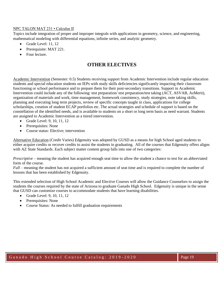#### NPC TALON MAT 231 • Calculus II

Topics include integration of proper and improper integrals with applications in geometry, science, and engineering, mathematical modeling with differential equations, infinite series, and analytic geometry.

- Grade Level: 11, 12
- Prerequisite: MAT 221.
- Four lecture.

# **OTHER ELECTIVES**

Academic Intervention (Semester: 0.5) Students receiving support from Academic Intervention include regular education students and special education students on IEPs with study skills deficiencies significantly impacting their classroom functioning or school performance and to prepare them for their post-secondary transitions. Support in Academic Intervention could include any of the following: test preparation/ test preparation/test taking (ACT, ASVAB, AzMerit), organization of materials and work, time management, homework consistency, study strategies, note taking skills, planning and executing long term projects, review of specific concepts taught in class, applications for college scholarships, creation of student ECAP portfolios etc. The actual strategies and schedule of support is based on the constellation of the identified needs, and is available to students on a short or long term basis as need warrant. Students are assigned to Academic Intervention as a tiered intervention.

- Grade Level: 9, 10, 11, 12
- Prerequisites: None
- Course status: Elective: intervention

Alternative Education (Credit Varies) Edgenuity was adopted by GUSD as a means for high School aged students to either acquire credits or recover credits to assist the students in graduating. All of the courses that Edgenuity offers aligns with AZ State Standards. Each subject matter content group falls into one of two categories:

*Prescriptive* – meaning the student has acquired enough seat time to allow the student a chance to test for an abbreviated form of the course.

*Full* – meaning the student has not acquired a sufficient amount of seat time and is required to complete the number of lessons that has been established by Edgenuity.

This extended selection of High School Academic and Elective Courses will allow the Guidance Counselors to assign the students the courses required by the state of Arizona to graduate Ganado High School. Edgenuity is unique in the sense that GUSD can customize courses to accommodate students that have learning disabilities.

- Grade Level: 9, 10, 11, 12
- Prerequisites: None
- Course Status: As needed to fulfill graduation requirements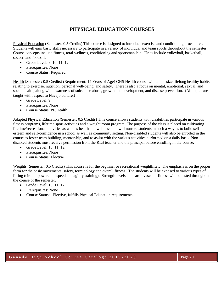# **PHYSICAL EDUCATION COURSES**

Physical Education (Semester: 0.5 Credits) This course is designed to introduce exercise and conditioning procedures. Students will earn basic skills necessary to participate in a variety of individual and team sports throughout the semester. Course concepts include fitness, total wellness, conditioning and sportsmanship. Units include volleyball, basketball, soccer, and football.

- Grade Level: 9, 10, 11, 12
- Prerequisites: None
- Course Status: Required

Health (Semester: 0.5 Credits) (Requirement: 14 Years of Age) GHS Health course will emphasize lifelong healthy habits relating to exercise, nutrition, personal well-being, and safety. There is also a focus on mental, emotional, sexual, and social health, along with awareness of substance abuse, growth and development, and disease prevention. (All topics are taught with respect to Navajo culture.)

- Grade Level: 9
- Prerequisites: None
- Course Status: PE/Health

Adapted Physical Education (Semester: 0.5 Credits) This course allows students with disabilities participate in various fitness programs, lifetime sport activities and a weight room program. The purpose of the class is placed on cultivating lifetime/recreational activities as well as health and wellness that will nurture students in such a way as to build selfesteem and self-confidence in a school as well as community setting. Non-disabled students will also be enrolled in the course to foster team building, mentorship, and to assist with the various activities performed on a daily basis. Nondisabled students must receive permission from the RLS teacher and the principal before enrolling in the course.

- Grade Level: 10, 11, 12
- Prerequisites: None
- Course Status: Elective

Weights (Semester: 0.5 Credits) This course is for the beginner or recreational weightlifter. The emphasis is on the proper form for the basic movements, safety, terminology and overall fitness. The students will be exposed to various types of lifting (circuit, power, and speed and agility training). Strength levels and cardiovascular fitness will be tested throughout the course of the semester.

- Grade Level: 10, 11, 12
- Prerequisites: None
- Course Status: Elective, fulfills Physical Education requirements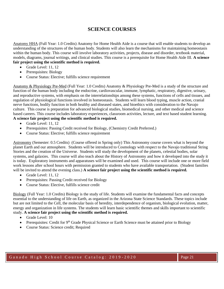## **SCIENCE COURSES**

Anatomy HHA (Full Year: 1.0 Credits) Anatomy for Home Health Aide is a course that will enable students to develop an understanding of the structures of the human body. Students will also learn the mechanisms for maintaining homeostasis within the human body. This course will involve laboratory activities, projects, disease and disorder, textbook material, models, diagrams, journal writings, and clinical studies. This course is a prerequisite for Home Health Aide III. **A science fair project using the scientific method is required.** 

- Grade Level: 11, 12
- Prerequisites: Biology
- Course Status: Elective; fulfills science requirement

Anatomy & Physiology Pre-Med (Full Year: 1.0 Credits) Anatomy & Physiology Pre-Med is a study of the structure and function of the human body including the endocrine, cardiovascular, immune, lymphatic, respiratory, digestive, urinary, and reproductive systems, with emphasis on the interrelationships among these systems, functions of cells and tissues, and regulation of physiological functions involved in homeostasis. Students will learn blood typing, muscle action, cranial nerve functions, bodily function in both healthy and diseased states, and bioethics with consideration to the Navajo culture. This course is preparation for advanced biological studies, biomedical nursing, and other medical and science based careers. This course includes laboratory experiences, classroom activities, lecture, and text based student learning. **A science fair project using the scientific method is required.** 

- Grade Level: 11, 12
- Prerequisites: Passing Credit received for Biology, (Chemistry Credit Preferred.)
- Course Status: Elective; fulfills science requirement

Astronomy (Semester: 0.5 Credits) (Course offered in Spring only) This Astronomy course covers what is beyond the planet Earth and our atmosphere. Students will be introduced to Cosmology with respect to the Navajo traditional String Stories and the creation of the Universe. Students will study the development of the planets, celestial bodies, solar systems, and galaxies. This course will also teach about the History of Astronomy and how it developed into the study it is today. Exploratory instruments and apparatuses will be examined and used. This course will include one or more field work lessons after school hours with permission granted to students who have available transportation. (Student families will be invited to attend the evening class.) **A science fair project using the scientific method is required.**

- Grade Level: 11, 12
- Prerequisites: Passing Credit received for Biology
- Course Status: Elective, fulfills science credit

Biology (Full Year: 1.0 Credits) Biology is the study of life. Students will examine the fundamental facts and concepts essential to the understanding of life on Earth, as organized in the Arizona State Science Standards. These topics include but are not limited to the Cell, the molecular basis of heredity, interdependence of organism, biological evolution, matter, energy and organization in life systems. The students will learn basic scientific themes and skills important to scientific study. **A science fair project using the scientific method is required.** 

- Grade Level: 10
- Prerequisites: Credit for  $9<sup>th</sup>$  Grade Physical Science or Earth Science must be attained prior to Biology
- Course Status: Science credit; Required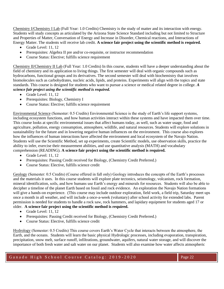Chemistry I/Chemistry I Lab (Full Year: 1.0 Credits) Chemistry is the study of matter and its interaction with energy. Students will study concepts as articulated by the Arizona State Science Standard including but not limited to Structure and Properties of Matter, Conversation of Energy and Increase in Disorder, Chemical reactions, and Interactions of Energy Matter. The students will receive lab credit. **A science fair project using the scientific method is required***.* 

- Grade Level: 11, 12
- Prerequisites: Algebra II pre and/or co-requisite, or instructor recommendation
- Course Status: Elective: fulfills science requirement

Chemistry II/Chemistry II Lab (Full Year: 1.0 Credits) In this course, students will have a deeper understanding about the field of chemistry and its application to living things. The first semester will deal with organic compounds such as hydrocarbons, functional groups and its derivatives. The second semester will deal with biochemistry that involves biomolecules such as carbohydrates, nucleic acids, lipids, and proteins. Experiments will align with the topics and state standards. This course is designed for students who want to pursue a science or medical related degree in college. *A science fair project using the scientific method is required.* 

- Grade Level: 11, 12
- Prerequisites: Biology, Chemistry I
- Course Status: Elective; fulfills science requirement

Environmental Science (Semester: 0.5 Credits) Environmental Science is the study of Earth's life support systems, including ecosystem functions, and how human activities interact within these systems and have impacted them over time. This course looks at specific environmental issues that affect humans today, as well, such as water usage, food and agriculture, pollution, energy consumption, atmosphere, wildlife, and natural resources. Students will explore solutions in sustainability for the future and in lowering negative human influences on the environment. This course also explores how the influences of human interactions have affected the environment and local ecosystem of the Navajo Nation. Students will use the Scientific Method, set up experiments, create Scientific models, use observation skills, practice the ability to infer, exercise their measurement abilities, and use quantitative analysis (MATH) and vocabulary comprehension (READING). **A science fair project using the scientific method is required.**

- Grade Level: 11, 12
- Prerequisites: Passing Credit received for Biology, (Chemistry Credit Preferred.)
- Course Status: Elective, fulfills science credit

Geology (Semester: 0.5 Credits) (Course offered in fall only) Geology introduces the concepts of the Earth's processes and the materials it uses. In this course students will explore plate tectonics, seismology, volcanism, rock formation, mineral identification, soils, and how humans use Earth's energy and minerals for resources. Students will also be able to decipher a timeline of the planet Earth based on fossil and rock evidence. An exploration the Navajo Nation formations will give a hands-on experience. (This course may include outdoor exploration, field work, a field trip, Saturday meet ups once a month in all weather, and will include a once-a-week (voluntary) after school activity for extended labs. Parent permission is needed for students to handle a rock saw, rock hammers, and lapidary equipment for students aged 17 or older. **A science fair project using the scientific method is required.**

- Grade Level: 11, 12
- Prerequisites: Passing Credit received for Biology, (Chemistry Credit Preferred.)
- Course Status: Elective, fulfills science credit

Hydrology (Semester: 0.5 Credits) This course covers Earth's Water Cycle that interacts between the atmosphere, the Earth, and the oceans. Students will learn the basic physical Hydrologic processes, including evaporation, transpiration, precipitation, snow melt, surface runoff, infiltrations, groundwater, aquifers, natural water storage, and will discover the importance of both fresh water and salt water on our planet. Students will also examine how water affects atmospheric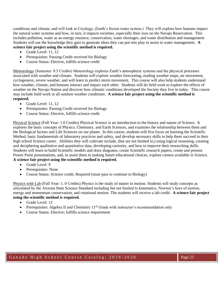conditions and climate, and will look at Cryology, (Earth's frozen water system.) They will explore how humans impact the natural water systems and how, in turn, it impacts societies, especially their own on the Navajo Reservation. This includes pollution, water as an energy resource, conservation, water shortages, and water distribution and management. Students will use the knowledge they gain to generate ideas they can put into play to assist in water management. **A science fair project using the scientific method is required.**

- Grade Level: 11, 12
- Prerequisites: Passing Credit received for Biology
- Course Status: Elective, fulfills science credit

Meteorology (Semester: 0.5 Credits) Meteorology explores Earth's atmospheric systems and the physical processes associated with weather and climate. Students will explore weather forecasting, reading weather maps, air movement, cyclogenesis, severe weather, and will learn to predict storm movement. This course will also help students understand how weather, climate, and humans interact and impact each other. Students will do field work to explore the effects of weather on the Navajo Nation and discover how climatic conditions developed the Society they live in today. This course may include field work in all outdoor weather conditions. **A science fair project using the scientific method is required.**

- Grade Level: 11, 12
- Prerequisites: Passing Credit received for Biology
- Course Status: Elective, fulfills science credit

Physical Science (Full Year: 1.0 Credits) Physical Science is an introduction to the history and nature of Science. It explores the basic concepts of Physics, Chemistry, and Earth Sciences, and examines the relationship between them and the Biological factors and Life Sciences on our planet. In this course, students will first focus on learning the Scientific Method, basic fundamentals of laboratory practices and safety, and develop necessary skills to help them succeed in their high school Science career. Abilities they will cultivate include, (but are not limited to,) using logical reasoning, creating and deciphering qualitative and quantitative data, developing curiosity, and how to improve their researching skills. Students will learn to build Scientific models and draw diagrams, create Scientific research papers, create and present Power Point presentations, and, to assist them in making future educational choices, explore careers available in Science. **A science fair project using the scientific method is required.**

- Grade Level: 9
- Prerequisites: None
- Course Status: Science credit; Required (must pass to continue to Biology)

Physics with Lab (Full Year: 1. 0 Credits) Physics is the study of matter in motion. Students will study concepts as articulated by the Arizona State Science Standard including but not limited to kinematics, Newton's laws of motion, energy and momentum conservation, and rotational motion. The students will receive a lab credit. **A science fair project using the scientific method is required.**

- Grade Level: 12
- Prerequisites: Algebra II and Chemistry  $11<sup>th</sup>$  Grade with instructor's recommendation only
- Course Status: Elective; fulfills science requirement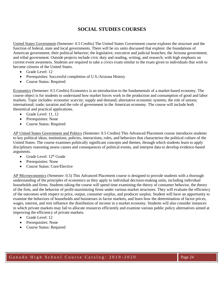# **SOCIAL STUDIES COURSES**

United States Government (Semester: 0.5 Credits) The United States Government course explores the structure and the function of federal, state and local governments. There will be six units discussed that explore: the foundations of American government; their political behavior; the legislative, executive and judicial branches; the Arizona government; and tribal government. Outside projects include civic duty and reading, writing, and research; with high emphasis on current event awareness. Students are required to take a civics exam similar to the exam given to individuals that wish to become citizens of the United States.

- Grade Level: 12
- Prerequisites: Successful completion of U.S./Arizona History
- Course Status: Required

Economics (Semester: 0.5 Credits) Economics is an introduction to the fundamentals of a market-based economy. The course object is for students to understand how market forces work in the production and consumption of good and labor markets. Topic includes: economic scarcity; supply and demand; alternative economic systems; the role of unions; international; trade; taxation and the role of government in the American economy. The course will include both theoretical and practical applications.

- Grade Level: 11, 12
- Prerequisites: None
- Course Status: Required

AP United States Government and Politics (Semester: 0.5 Credits) This Advanced Placement course introduces students to key political ideas, institutions, policies, interactions, roles, and behaviors that characterize the political culture of the United States. The course examines politically significant concepts and themes, through which students learn to apply disciplinary reasoning assess causes and consequences of political events, and interpret data to develop evidence-based arguments.

- Grade Level:  $12<sup>th</sup>$  Grade
- Prerequisites: None
- Course Status: Core/Elective

AP Microeconomics (Semester: 0.5) This Advanced Placement course is designed to provide students with a thorough understanding of the principles of economics as they apply to individual decision-making units, including individual households and firms. Students taking the course will spend time examining the theory of consumer behavior, the theory of the firm, and the behavior of profit-maximizing firms under various market structures. They will evaluate the efficiency of the outcomes with respect to price, output, consumer surplus, and producer surplus. Student will have an opportunity to examine the behaviors of households and businesses in factor markets, and learn how the determination of factor prices, wages, interest, and rent influence the distribution of income in a market economy. Students will also consider instances in which private markets may fail to allocate resources efficiently and examine various public policy alternatives aimed at improving the efficiency of private markets.

- Grade Level: 12
- Prerequisites: None
- Course Status: Required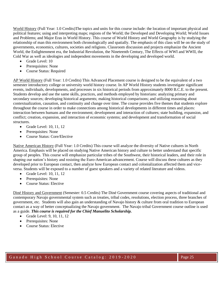World History (Full Year: 1.0 Credits)The topics and units for this course include: the location of important physical and political features; using and interpreting maps; regions of the World; the Developed and Developing World; World Issues and Problems; and Major Eras in World History. This course of World History and World Geography is by studying the relationship of man this environment both chronologically and spatially. The emphasis of this class will be on the study of governments, economics, cultures, societies and religions. Classroom discussion and projects emphasize the Ancient World, the Enlightenment era, the Industrial Revolution, the Nineteenth Century, The Effects of WWI and WWII, the Cold War as well as ideologies and independent movements in the developing and developed world.

- Grade Level: 10
- Prerequisites: None
- Course Status: Required

AP World History (Full Year: 1.0 Credits) This Advanced Placement course is designed to be the equivalent of a two semester introductory college or university world history course. In AP World History students investigate significant events, individuals, developments, and processes in six historical periods from approximately 8000 B.C.E. to the present. Students develop and use the same skills, practices, and methods employed by historians: analyzing primary and secondary sources; developing historical arguments; making historical comparisons; and utilizing reasoning about contextualization, causation, and continuity and change over time. The course provides five themes that students explore throughout the course in order to make connections among historical developments in different times and places: interaction between humans and the environment; development and interaction of cultures; state building, expansion, and conflict; creation, expansion, and interaction of economic systems; and development and transformation of social structures.

- Grade Level: 10, 11, 12
- Prerequisites: None
- Course Status: Core/Elective

Native American History (Full Year: 1.0 Credits) This course will analyze the diversity of Native cultures in North America. Emphasis will be placed on studying Native American history and culture to better understand that specific group of peoples. This course will emphasize particular tribes of the Southwest, their historical leaders, and their role in shaping our nation's history and resisting the Euro-American advancement. Course will discuss these cultures as they developed prior to European contact, then analyze how European contact and colonialization affected them and viceversa. Students will be exposed to a number of guest speakers and a variety of related literature and videos.

- Grade Level: 10, 11, 12
- Prerequisites: None
- Course Status: Elective

Diné History and Government (Semester: 0.5 Credits) The Diné Government course covering aspects of traditional and contemporary Navajo governmental system such as treaties, tribal codes, resolutions, election process, three branches of government, etc. Students will also gain an understanding of Navajo history & culture from oral tradition to European contact as a way of better conceptualizing the Navajo government. The Navajo tribal Government course outline is used as a guide. *This course is required for the Chief Manuelito Scholarship.*

- Grade Level: 9, 10, 11, 12
- Prerequisites: None
- Course Status: Elective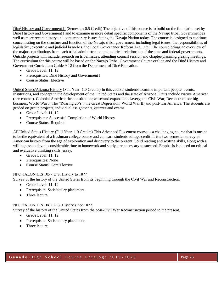Diné History and Government II (Semester: 0.5 Credit) The objective of this course is to build on the foundation set by Diné History and Government I and to examine in more detail specific components of the Navajo tribal Government as well as more recent history and contemporary issues facing the Navajo Nation today. The course is designed to continue concentrating on the structure and function of the Navajo tribal government including legal issues, the responsibilities of legislative, executive and judicial branches, the Local Governance Reform Act…etc. The course brings an overview of the major contributions from each tribal administration and political relationship of the state and federal governments. Outside projects will include research on tribal issues, attending council session and chapter/planning/grazing meetings. The curriculum for this course will be based on the Navajo Tribal Government Course outline and the Diné History and Government Curriculum Guide 9-12 from the Department of Diné Education.

- Grade Level: 11, 12
- Prerequisites: Diné History and Government I
- Course Status: Elective

United States/Arizona History (Full Year: 1.0 Credits) In this course, students examine important people, events, institutions, and concept in the development of the United States and the state of Arizona. Units include Native American (pre-contact). Colonial America; the constitution; westward expansion; slavery; the Civil War; Reconstruction; big business; World War I; The "Roaring 20's"; the Great Depression; World War II; and post-war America. The students are graded on group projects, individual assignments, quizzes and exams.

- Grade Level: 11, 12
- Prerequisites: Successful Completion of World History
- Course Status: Required

AP United States History (Full Year: 1.0 Credits) This Advanced Placement course is a challenging course that is meant to be the equivalent of a freshman college course and can earn students college credit. It is a two-semester survey of American history from the age of exploration and discovery to the present. Solid reading and writing skills, along with a willingness to devote considerable time to homework and study, are necessary to succeed. Emphasis is placed on critical and evaluative thinking skills, essay.

- Grade Level: 11, 12
- Prerequisites: None
- Course Status: Core/Elective

#### NPC TALON HIS 105 • U.S. History to 1877

Survey of the history of the United States from its beginning through the Civil War and Reconstruction.

- Grade Level: 11, 12
- Prerequisite: Satisfactory placement.
- Three lecture.

#### NPC TALON HIS 106 • U.S. History since 1877

Survey of the history of the United States from the post-Civil War Reconstruction period to the present.

- Grade Level: 11, 12 Prerequisite: Satisfactory placement.
- Three lecture.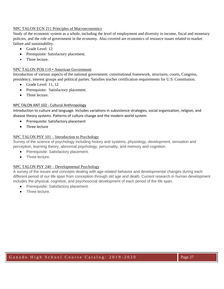#### NPC TALON ECN 211 Principles of Macroeconomics

Study of the economic system as a whole, including the level of employment and diversity in income, fiscal and monetary policies, and the role of government in the economy. Also covered are economics of resource issues related to market failure and sustainability.

- Grade Level: 12
- Prerequisite: Satisfactory placement.
- Three lecture.

#### NPC TALON POS 110 • American Government

Introduction of various aspects of the national government: constitutional framework, structures, courts, Congress, presidency, interest groups and political parties. Satisfies teacher certification requirements for U.S. Constitution.

- Grade Level: 11, 12
- Prerequisite: Satisfactory placement.
- Three lecture.

#### NPC TALON ANT 102 - Cultural Anthropology

Introduction to culture and language. Includes variations in subsistence strategies, social organization, religion, and disease theory systems. Patterns of culture change and the modern world system.

- Prerequisite: Satisfactory placement
- Three lecture

#### NPC TALON PSY 101 – Introduction to Psychology

Survey of the science of psychology including history and systems, physiology, development, sensation and perception, learning theory, abnormal psychology, personality, and memory and cognition.

- Prerequisite: Satisfactory placement.
- Three lecture.

#### NPC TALON PSY 240 – Developmental Psychology

A survey of the issues and concepts dealing with age-related behavior and developmental changes during each different period of our life span from conception through old age and death. Current research in human development includes the physical, cognitive, and psychosocial development of each period of the life span.

- Prerequisite: Satisfactory placement.
- Three lecture.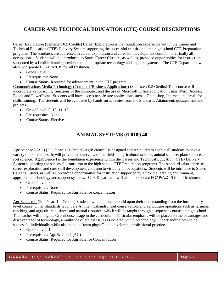# **CAREER AND TECHNICAL EDUCATION (CTE) COURSE DESCRIPTIONS**

Career Exploration (Semester: 0.5 Credits) Career Exploration is the foundation experience within the Career and Technical Education (CTE) Delivery System supporting the successful transition to the high school CTE Preparation programs. The standards are addressed in career exploration and core skill development common to virtually all occupations. Students will be introduced to States Career Clusters, as well as, provided opportunities for instruction supported by a flexible learning environment, appropriate technology and support systems. The CTE Department will also incorporate ECAP/AzCIS for all freshmen.

- Grade Level: 9
- Prerequisites: None
- Course Status: Required for advancement in the CTE program

Communications Media Technology (Computer/Business Applications) (Semester: 0.5 Credits) This course will incorporate keyboarding, functions of the computer, and the use of Microsoft Office application using Word, Access, Excel, and PowerPoint. Students will have access to software applications such as Photoshop, Internet, and email for skills training. The students will be evaluated by hands-on activities from the Standards Attainment, quizzes/tests and projects.

- Grade Level: 9, 10, 11, 12
- Pre-requisites: None
- Course Status: Elective

## **ANIMAL SYSTEMS 01.0100.40**

AgriScience I (AG) (Full Year: 1.0 Credits) AgriScience I is designed and structured to enable all students to have a variety of experiences tht will provide an overview of the fields of agricultural science, animal science, plant science, and soil science. AgriScience I is the foundation experience within the Career and Technical Education (CTE) Delivery System supporting the successful transition to the high school CTE Preparation programs. The standards also addresses career exploration and core skill development common to virtually all occupations. Students will be introduce to States Career Clusters, as well as, providing opportunities for instruction supported by a flexible learning environment, appropriate technology and support systems. CTE Department will also incorporate ECAP/AzCIS for all freshmen.

- Grade Level: 9
- Prerequisites: None
- Course Status: Required for AgriScience concentration

AgriScience II (Full Year: 1.0 Credits) Students will continue to build upon their understanding from the introductory level course. Other Standards taught are Animal husbandry, soil conservation, and agriculture operations such as farming, ranching, and agriculture business and natural resources which will be taught through a sequence courses in high school. The teacher will integrate Greenhouse usage in the curriculum. Particular emphasis will be placed on the advantages and disadvantages of technology, a multitude of ethical issues associated with biotechnology, understanding how to be successful individually while also being a "team player", and developing professional practices.

- Grade Level: 10
- Prerequisites: AgriScience I (AG)
- Course Status: Required for AgriScience Concentration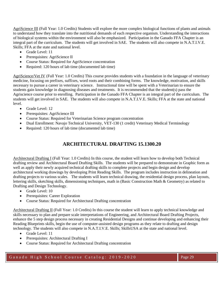AgriScience III (Full Year: 1.0 Credits) Students will explore the more complex biological functions of plants and animals to understand how they translate into the nutritional demands of each respective organism. Understanding the interactions of biological systems within the environment will also be emphasized. Participation in the Ganado FFA Chapter is an integral part of the curriculum. The students will get involved in SAE. The students will also compete in N.A.T.I.V.E. Skills; FFA at the state and national level.

- Grade Level: 11
- Prerequisites: AgriScience II
- Course Status: Required for AgriScience concentration
- Required: 120 hours of lab time (documented lab time)

AgriScience/Vet IV (Full Year: 1.0 Credits) This course provides students with a foundation in the language of veterinary medicine, focusing on prefixes, suffixes, word roots and their combining forms. The knowledge, motivation, and skills necessary to pursue a career in veterinary science. Instructional time will be spent with a Veterinarian to ensure the students gain knowledge in diagnosing diseases and treatments. It is recommended that the student(s) pass the Agriscience course prior to enrolling. Participation in the Ganado FFA Chapter is an integral part of the curriculum. The students will get involved in SAE. The students will also compete in N.A.T.I.V.E. Skills; FFA at the state and national level.

- Grade Level: 12
- Prerequisites: AgriScience III
- Course Status: Required for Veterinarian Science program concentration
- Dual Enrollment: Navajo Technical University, VET-130 (1 credit) Veterinary Medical Terminology
- Required: 120 hours of lab time (documented lab time)

# **ARCHITECTURAL DRAFTING 15.1300.20**

Architectural Drafting I (Full Year: 1.0 Credits) In this course, the student will learn how to develop both Technical drafting review and Architectural Board Drafting Skills. The students will be prepared to demonstrate in Graphic form as well as apply their newly acquired technical drafting skills to complete projects and begin design and develop architectural working drawings by developing Print Reading Skills. The program includes instruction in delineation and drafting projects to various scales. The students will learn technical drawing, the residential design process, plan layouts, lettering skills, sketching skills, dimensioning techniques, math in (Basic Construction Math & Geometry) as related to Drafting and Design Technology.

- Grade Level: 10
- Prerequisites: Career Exploration
- Course Status: Required for Architectural Drafting concentration

Architectural Drafting II (Full Year: 1.0 Credits) In this course the student will learn to apply technical knowledge and skills necessary to plan and prepare scale interpretations of Engineering, and Architectural Board Drafting Projects, enhance the 5 step design process necessary in creating Residential Designs and continue developing and enhancing their Reading Blueprints skills, begin the use of computer-assisted design programs as they relate to drafting and design technology. The students will also compete in N.A.T.I.V.E. Skills; SkillsUSA at the state and national level.

- Grade Level: 11
- Prerequisites: Architectural Drafting I
- Course Status: Required for Architectural Drafting concentration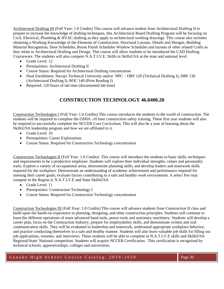Architectural Drafting III (Full Year: 1.0 Credits) This course will advance student from Architectural Drafting II to prepare to increase the knowledge of drafting techniques, this Architectural Board Drafting Program will be focusing on Civil, Electrical, Plumbing & HVAC drafting as they apply to architectural working drawings. This course also includes obtaining a Working Knowledge of the Elements of Construction, Structural Layouts, Details and Designs, Building Material Recognition, Door Schedules, Room Finish Schedules Window Schedules and layouts of other related Crafts as they relate to Architectural Drafting and Design. This course will allow students to be introduced the CAD Drafting Courseware. The students will also compete N.A.T.I.V.E. Skills in SkillsUSA at the state and national level.

- Grade Level: 12
- Prerequisites: Architectural Drafting II
- Course Status: Required for Architectural Drafting concentration
- Dual Enrollment: Navajo Technical University and/or NPC DRF 120 (Technical Drafting I), DRF 130 (Architectural Drafting I), BOC 140 (Print Reading I)
- Required: 120 hours of lab time (documented lab time)

# **CONSTRUCTION TECHNOLOGY 46.0400.20**

Construction Technologies I (Full Year: 1.0 Credits) This course introduces the students to the world of construction. The students will be required to complete the OSHA -10 hour construction safety training. These first year students will also be required to successfully complete the NCCER Core Curriculum. This will also be a year of learning about the SkillsUSA leadership program and how we are affiliated to it.

- Grade Level: 10
- Prerequisites: Career Explorations
- Course Status: Required for Construction Technology concentration

Construction Technologies II (Full Year: 1.0 Credits) This course will introduce the students to basic skills, techniques and requirements to be a productive employee. Students will explore their individual strengths, values and personality traits. Explore a variety of occupational areas, demonstrate planning skills, and develop leaders and teamwork skills required for the workplace. Demonstrate an understanding of academic achievement and performance required for meeting their career goals; evaluate factors contributing to a safe and healthy work environment. A select few may compete in the Region 4, N.A.T.I.V.E and State SkillsUSA

- Grade Level: 11
- Prerequisites: Construction Technology I
- Course Status: Required for Construction Technology concentration

Construction Technologies III (Full Year: 1.0 Credits) This course will advance students from Construction II class and build upon the hands-on experience in planning, designing, and other construction principles. Students will continue to learn the different operations of more advanced hand tools, power tools and stationary machinery. Students will develop a career plan, focus on the Construction Industry, prepare for employability skills, and demonstrate written and oral communication skills. They will be evaluated in leadership and teamwork, understand appropriate workplace behavior, and practice conducting themselves in a safe and healthy manner. Students will also learn valuable job skills for filling out job applications, resumes, and interviews. These students will be able to complete in N.A.T.I.V.E skills and SkillsUSA Regional/State/ National competition. Students will acquire NCCER Certification. This certification is recognized by technical schools, apprenticeships, colleges and universities.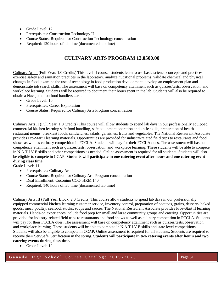- Grade Level: 12
- Prerequisites: Construction Technology II
- Course Status: Required for Construction Technology concentration
- Required: 120 hours of lab time (documented lab time)

## **CULINARY ARTS PROGRAM 12.0500.00**

Culinary Arts I (Full Year: 1.0 Credits) This level II course, students learn to use basic science concepts and practices, exercise safety and sanitation practices in the laboratory, analyze nutritional problems, validate chemical and physical changes in food, examine the use of technology in food production development, develop an employment plan and demonstrate job search skills. The assessment will base on competency attainment such as quizzes/tests, observation, and workplace learning. Students will be required to document their hours spent in the lab. Students will also be required to obtain a Navajo nation food handlers card.

- Grade Level: 10
- Prerequisites: Career Exploration
- Course Status: Required for Culinary Arts Program concentration

Culinary Arts II (Full Year: 1.0 Credits) This course will allow students to spend lab days in our professionally equipped commercial kitchen learning safe food handling, safe equipment operation and knife skills, preparation of health restaurant menus, breakfast foods, sandwiches, salads, garnishes, fruits and vegetables. The National Restaurant Associate provides Pro-Start I learning materials. Opportunities are provided for industry-related field trips to restaurants and food shows as well as culinary competition in FCCLA. Students will pay for their FCCLA dues. The assessment will base on competency attainment such as quizzes/tests, observation, and workplace learning. These students will be able to compete in N.A.T.I.V.E skills and other competitions as needed. Online assessment is required for all students. Students will also be eligible to compete in CCAP. **Students will participate in one catering event after hours and one catering event during class time.** 

Grade Level: 11

- Prerequisites: Culinary Arts I
- Course Status: Required for Culinary Arts Program concentration
- Dual Enrollment: Coconino CCC- HRM 140
- Required: 140 hours of lab time (documented lab time)

Culinary Arts III (Full Year Block: 2.0 Credits) This course allow students to spend lab days in our professionally equipped commercial kitchen learning customer service, inventory control, preparation of potatoes, grains, desserts, baked goods, meat, poultry, seafood, stocks, soups and sauces. The National Restaurant Associate provides Pros-Start II learning materials. Hands-on experiences include food prep for small and large community groups and catering. Opportunities are provided for industry-related field trips to restaurants and food shows as well as culinary competition in FCCLA. Students will pay for their FCCLA dues. The assessment will base on competency attainment such as quizzes/tests, observation, and workplace learning. These students will be able to compete in N.A.T.I.V.E skills and state level competitions. Students will also be eligible to compete in CCAP. Online assessment is required for all students. Students are required to receive their ServSafe Certification in the spring. **Students will participate in two catering events after hours and two catering events during class time.**

• Grade Level: 12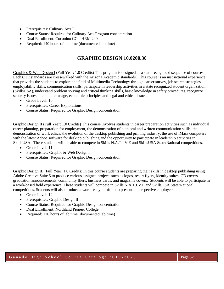- Prerequisites: Culinary Arts I
- Course Status: Required for Culinary Arts Program concentration
- Dual Enrollment: Coconino CC HRM 240
- Required: 140 hours of lab time (documented lab time)

## **GRAPHIC DESIGN 10.0200.30**

Graphics & Web Design I (Full Year: 1.0 Credits) This program is designed as a state-recognized sequence of courses. Each CTE standards are cross-walked with the Arizona Academic standards. This course is an instructional experience that provides the students to explore the field of Multimedia Technology through career survey, job search strategies, employability skills, communication skills, participate in leadership activities in a state recognized student organization (SkillsUSA), understand problem solving and critical thinking skills, basic knowledge in safety procedures, recognize security issues in computer usage, economic principles and legal and ethical issues.

- Grade Level: 10
- Prerequisites: Career Explorations
- Course Status: Required for Graphic Design concentration

Graphic Design II (Full Year: 1.0 Credits) This course involves students in career preparation activities such as individual career planning, preparation for employment, the demonstration of both oral and written communication skills, the demonstration of work ethics, the evolution of the desktop publishing and printing industry, the use of iMacs computers with the latest Adobe software for desktop publishing and the opportunity to participate in leadership activities in SkillsUSA. These students will be able to compete in Skills N.A.T.I.V.E and SkillsUSA State/National competitions.

- Grade Level: 11
- Prerequisites: Graphic & Web Design I
- Course Status: Required for Graphic Design concentration

Graphic Design III (Full Year: 1.0 Credits) In this course students are preparing their skills in desktop publishing using Adobe Creative Suite 5 to produce various assigned projects such as logos, resort flyers, identity suites, CD covers, graduation announcements, community fliers, business cards, and magazine covers. Students will be able to participate in a work-based field experience. These students will compete in Skills N.A.T.I.V.E and SkillsUSA State/National competitions. Students will also produce a work ready portfolio to present to perspective employers.

- Grade Level: 12
- Prerequisites: Graphic Design II
- Course Status: Required for Graphic Design concentration
- Dual Enrollment: Northland Pioneer College
- Required: 120 hours of lab time (documented lab time)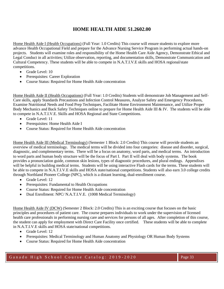# **HOME HEALTH AIDE 51.2602.00**

Home Health Aide I (Health Occupations) (Full Year: 1.0 Credits) This course will ensure students to explore more advance Health Occupational Field and prepare for the Advance Nursing Service Program in performing actual hands-on projects. Students will examine roles and responsibility of the Home Health Care Aide Agency, Demonstrate Ethical and Legal Conduct in all activities; Utilize observation, reporting, and documentation skills, Demonstrate Communication and Cultural Competency. These students will be able to compete in N.A.T.I.V.E skills and HOSA regional/state competitions.

- Grade Level: 10
- Prerequisites: Career Exploration
- Course Status: Required for Home Health Aide concentration

Home Health Aide II (Health Occupations) (Full Year: 1.0 Credits) Students will demonstrate Job Management and Self-Care skills, apply Standards Precautions and Infection Control Measures, Analyze Safety and Emergency Procedures, Examine Nutritional Needs and Food Prep Techniques, Facilitate Home Environment Maintenance, and Utilize Proper Body Mechanics and Back Safety Techniques online to prepare for Home Health Aide III & IV. The students will be able to compete in N.A.T.I.V.E. Skills and HOSA Regional and State Competitions.

- Grade Level: 11
- Prerequisites: Home Health Aide I
- Course Status: Required for Home Health Aide concentration

Home Health Aide III (Medical Terminology) (Semester 1 Block: 2.0 Credits) This course will provide students an overview of medical terminology. The medical terms will be divided into four categories: disease and disorder, surgical, diagnostic, and complementary terms. There will be a focus on anatomy, word parts, and medical terms. An introduction to word parts and human body structure will be the focus of Part I. Part II will deal with body systems. The book provides a pronunciation guide, common skin lesions, types of diagnostic procedures, and plural endings. Appendixes will be helpful in building medical terms. Students will be using interactive Flash cards for the terms. These students will be able to compete in N.A.T.I.V.E skills and HOSA state/national competitions. Students will also earn 3.0 college credits through Northland Pioneer College (NPC), which is a distant learning, dual-enrollment course.

- Grade Level: 12
- Prerequisites: Fundamental to Health Occupations
- Course Status: Required for Home Health Aide concentration
- Dual Enrollment: NPC/ N.A.T.I.V.E. (1008 Medical Terminology)

Home Health Aide IV (DCW) (Semester 2 Block: 2.0 Credits) This is an exciting course that focuses on the basic principles and procedures of patient care. The course prepares individuals to work under the supervision of licensed health care professionals in performing nursing care and services for persons of all ages. After completion of this course, the student can apply for employment with Direct Care Facility once certified. These students will be able to complete in N.A.T.I.V.E skills and HOSA state/national competitions.

- Grade Level: 12
- Prerequisites: Medical Terminology and Human Anatomy and Physiology OR Human Body Systems
- Course Status: Required for Home Health Aide concentration